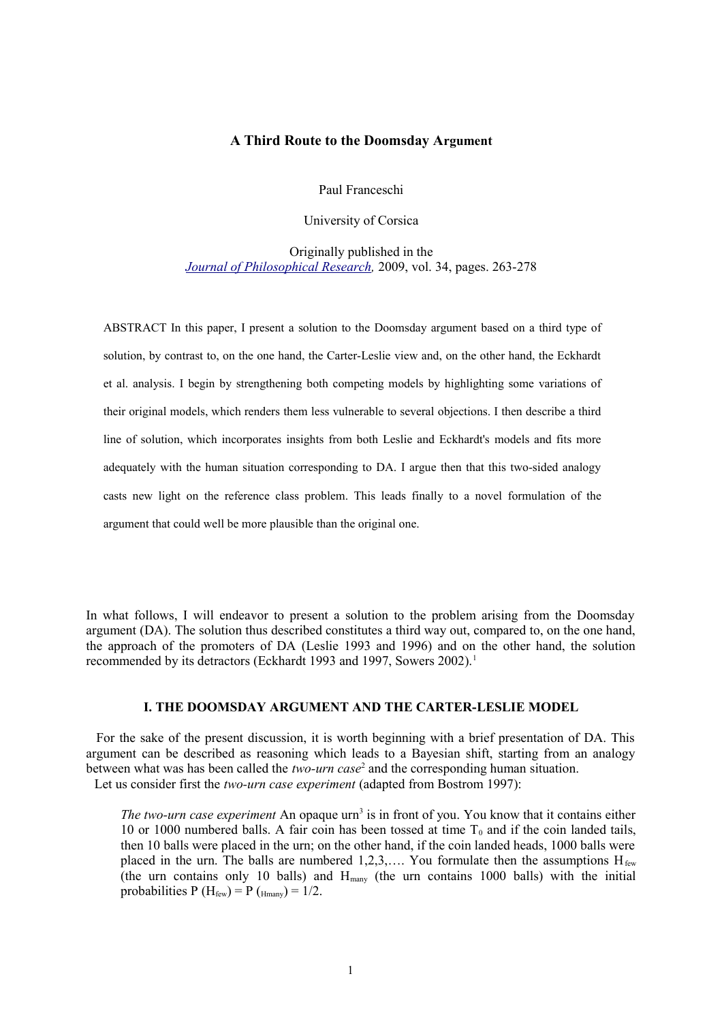# **A Third Route to the Doomsday Argument**

Paul Franceschi

University of Corsica

Originally published in the *[Journal of Philosophical Research,](https://secure.pdcnet.org/pdc/bvdb.nsf/journal?openform&journal=pdc_jpr)* 2009, vol. 34, pages. 263-278

ABSTRACT In this paper, I present a solution to the Doomsday argument based on a third type of solution, by contrast to, on the one hand, the Carter-Leslie view and, on the other hand, the Eckhardt et al. analysis. I begin by strengthening both competing models by highlighting some variations of their original models, which renders them less vulnerable to several objections. I then describe a third line of solution, which incorporates insights from both Leslie and Eckhardt's models and fits more adequately with the human situation corresponding to DA. I argue then that this two-sided analogy casts new light on the reference class problem. This leads finally to a novel formulation of the argument that could well be more plausible than the original one.

In what follows, I will endeavor to present a solution to the problem arising from the Doomsday argument (DA). The solution thus described constitutes a third way out, compared to, on the one hand, the approach of the promoters of DA (Leslie 1993 and 1996) and on the other hand, the solution recommended by its detractors (Eckhardt [1](#page-11-0)993 and 1997, Sowers 2002).<sup>1</sup>

## **I. THE DOOMSDAY ARGUMENT AND THE CARTER-LESLIE MODEL**

For the sake of the present discussion, it is worth beginning with a brief presentation of DA. This argument can be described as reasoning which leads to a Bayesian shift, starting from an analogy between what was has been called the *two-urn case*[2](#page-11-1) and the corresponding human situation. Let us consider first the *two-urn case experiment* (adapted from Bostrom 1997):

*The two-urn case experiment* An opaque urn<sup>[3](#page-11-2)</sup> is in front of you. You know that it contains either 10 or 1000 numbered balls. A fair coin has been tossed at time  $T_0$  and if the coin landed tails, then 10 balls were placed in the urn; on the other hand, if the coin landed heads, 1000 balls were placed in the urn. The balls are numbered  $1,2,3,...$  You formulate then the assumptions  $H_{f_{ew}}$ (the urn contains only 10 balls) and  $H_{\text{many}}$  (the urn contains 1000 balls) with the initial probabilities P ( $H_{few}$ ) = P ( $_{H_{many}}$ ) = 1/2.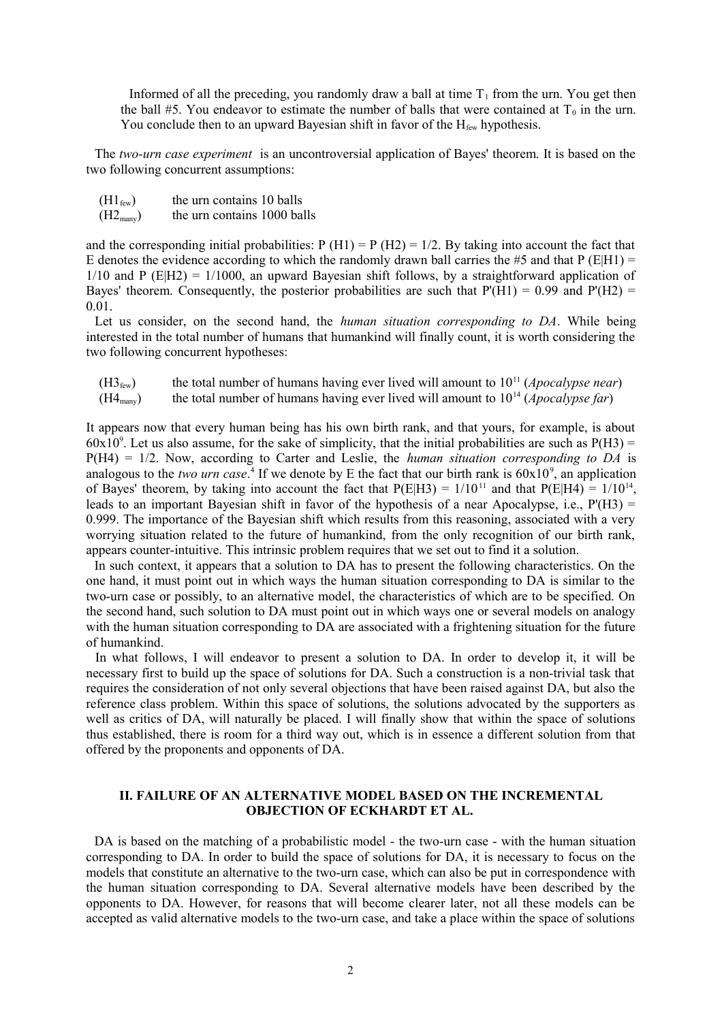Informed of all the preceding, you randomly draw a ball at time  $T_1$  from the urn. You get then the ball #5. You endeavor to estimate the number of balls that were contained at  $T_0$  in the urn. You conclude then to an upward Bayesian shift in favor of the  $H_{few}$  hypothesis.

The *two-urn case experiment* is an uncontroversial application of Bayes' theorem. It is based on the two following concurrent assumptions:

- $(H1_{\text{few}})$  the urn contains 10 balls
- $(H2<sub>many</sub>)$  the urn contains 1000 balls

and the corresponding initial probabilities:  $P(H1) = P(H2) = 1/2$ . By taking into account the fact that E denotes the evidence according to which the randomly drawn ball carries the #5 and that P (E|H1) =  $1/10$  and P (E|H2) =  $1/1000$ , an upward Bayesian shift follows, by a straightforward application of Bayes' theorem. Consequently, the posterior probabilities are such that  $P(H1) = 0.99$  and  $P'(H2) =$ 0.01.

Let us consider, on the second hand, the *human situation corresponding to DA*. While being interested in the total number of humans that humankind will finally count, it is worth considering the two following concurrent hypotheses:

 $(H3<sub>few</sub>)$  the total number of humans having ever lived will amount to  $10<sup>11</sup>$  (*Apocalypse near*)  $(H4_{\text{many}})$  the total number of humans having ever lived will amount to  $10^{14}$  (*Apocalypse far*)

It appears now that every human being has his own birth rank, and that yours, for example, is about  $60x10^9$ . Let us also assume, for the sake of simplicity, that the initial probabilities are such as  $P(H3)$  = P(H4) = 1/2. Now, according to Carter and Leslie, the *human situation corresponding to DA* is analogous to the *two urn case*.<sup>[4](#page-11-3)</sup> If we denote by E the fact that our birth rank is  $60x10^9$ , an application of Bayes' theorem, by taking into account the fact that  $P(E|H3) = 1/10^{11}$  and that  $P(E|H4) = 1/10^{14}$ , leads to an important Bayesian shift in favor of the hypothesis of a near Apocalypse, i.e.,  $P'(H3) =$ 0.999. The importance of the Bayesian shift which results from this reasoning, associated with a very worrying situation related to the future of humankind, from the only recognition of our birth rank, appears counter-intuitive. This intrinsic problem requires that we set out to find it a solution.

In such context, it appears that a solution to DA has to present the following characteristics. On the one hand, it must point out in which ways the human situation corresponding to DA is similar to the two-urn case or possibly, to an alternative model, the characteristics of which are to be specified. On the second hand, such solution to DA must point out in which ways one or several models on analogy with the human situation corresponding to DA are associated with a frightening situation for the future of humankind.

In what follows, I will endeavor to present a solution to DA. In order to develop it, it will be necessary first to build up the space of solutions for DA. Such a construction is a non-trivial task that requires the consideration of not only several objections that have been raised against DA, but also the reference class problem. Within this space of solutions, the solutions advocated by the supporters as well as critics of DA, will naturally be placed. I will finally show that within the space of solutions thus established, there is room for a third way out, which is in essence a different solution from that offered by the proponents and opponents of DA.

# **II. FAILURE OF AN ALTERNATIVE MODEL BASED ON THE INCREMENTAL OBJECTION OF ECKHARDT ET AL.**

DA is based on the matching of a probabilistic model - the two-urn case - with the human situation corresponding to DA. In order to build the space of solutions for DA, it is necessary to focus on the models that constitute an alternative to the two-urn case, which can also be put in correspondence with the human situation corresponding to DA. Several alternative models have been described by the opponents to DA. However, for reasons that will become clearer later, not all these models can be accepted as valid alternative models to the two-urn case, and take a place within the space of solutions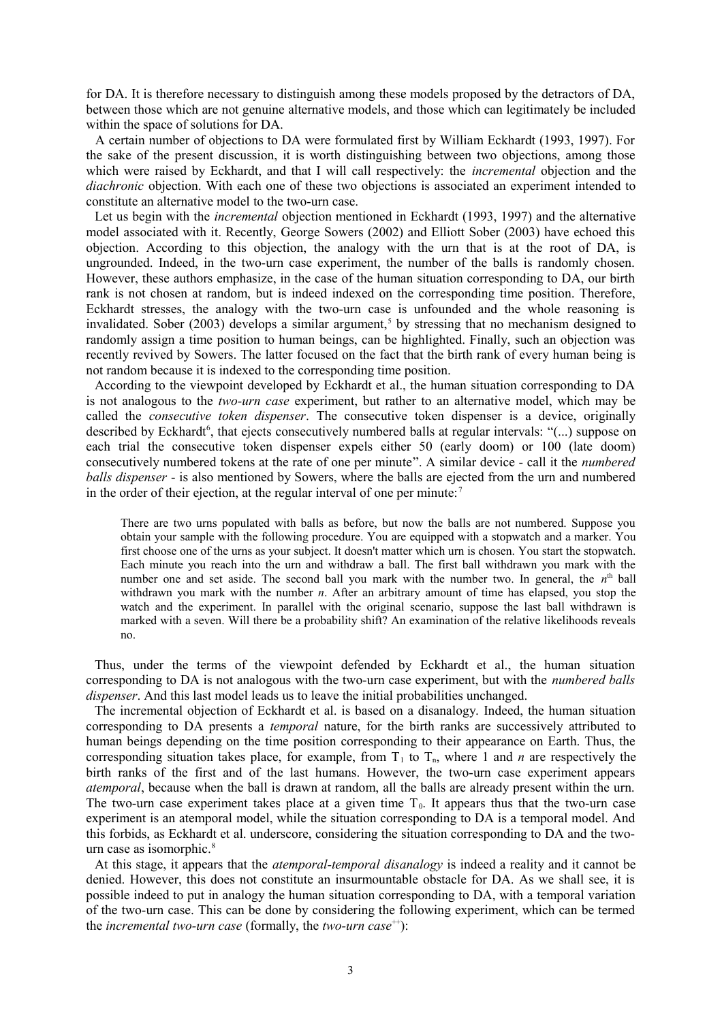for DA. It is therefore necessary to distinguish among these models proposed by the detractors of DA, between those which are not genuine alternative models, and those which can legitimately be included within the space of solutions for DA.

A certain number of objections to DA were formulated first by William Eckhardt (1993, 1997). For the sake of the present discussion, it is worth distinguishing between two objections, among those which were raised by Eckhardt, and that I will call respectively: the *incremental* objection and the *diachronic* objection. With each one of these two objections is associated an experiment intended to constitute an alternative model to the two-urn case.

Let us begin with the *incremental* objection mentioned in Eckhardt (1993, 1997) and the alternative model associated with it. Recently, George Sowers (2002) and Elliott Sober (2003) have echoed this objection. According to this objection, the analogy with the urn that is at the root of DA, is ungrounded. Indeed, in the two-urn case experiment, the number of the balls is randomly chosen. However, these authors emphasize, in the case of the human situation corresponding to DA, our birth rank is not chosen at random, but is indeed indexed on the corresponding time position. Therefore, Eckhardt stresses, the analogy with the two-urn case is unfounded and the whole reasoning is invalidated. Sober (2003) develops a similar argument,<sup>[5](#page-11-4)</sup> by stressing that no mechanism designed to randomly assign a time position to human beings, can be highlighted. Finally, such an objection was recently revived by Sowers. The latter focused on the fact that the birth rank of every human being is not random because it is indexed to the corresponding time position.

According to the viewpoint developed by Eckhardt et al., the human situation corresponding to DA is not analogous to the *two-urn case* experiment, but rather to an alternative model, which may be called the *consecutive token dispenser*. The consecutive token dispenser is a device, originally described by Eckhardt<sup>[6](#page-11-5)</sup>, that ejects consecutively numbered balls at regular intervals: "(...) suppose on each trial the consecutive token dispenser expels either 50 (early doom) or 100 (late doom) consecutively numbered tokens at the rate of one per minute". A similar device - call it the *numbered balls dispenser* - is also mentioned by Sowers, where the balls are ejected from the urn and numbered in the order of their ejection, at the regular interval of one per minute:<sup>[7](#page-11-6)</sup>

There are two urns populated with balls as before, but now the balls are not numbered. Suppose you obtain your sample with the following procedure. You are equipped with a stopwatch and a marker. You first choose one of the urns as your subject. It doesn't matter which urn is chosen. You start the stopwatch. Each minute you reach into the urn and withdraw a ball. The first ball withdrawn you mark with the number one and set aside. The second ball you mark with the number two. In general, the  $n<sup>th</sup>$  ball withdrawn you mark with the number *n*. After an arbitrary amount of time has elapsed, you stop the watch and the experiment. In parallel with the original scenario, suppose the last ball withdrawn is marked with a seven. Will there be a probability shift? An examination of the relative likelihoods reveals no.

Thus, under the terms of the viewpoint defended by Eckhardt et al., the human situation corresponding to DA is not analogous with the two-urn case experiment, but with the *numbered balls dispenser*. And this last model leads us to leave the initial probabilities unchanged.

The incremental objection of Eckhardt et al. is based on a disanalogy. Indeed, the human situation corresponding to DA presents a *temporal* nature, for the birth ranks are successively attributed to human beings depending on the time position corresponding to their appearance on Earth. Thus, the corresponding situation takes place, for example, from  $T_1$  to  $T_n$ , where 1 and *n* are respectively the birth ranks of the first and of the last humans. However, the two-urn case experiment appears *atemporal*, because when the ball is drawn at random, all the balls are already present within the urn. The two-urn case experiment takes place at a given time  $T_0$ . It appears thus that the two-urn case experiment is an atemporal model, while the situation corresponding to DA is a temporal model. And this forbids, as Eckhardt et al. underscore, considering the situation corresponding to DA and the two-urn case as isomorphic.<sup>[8](#page-11-7)</sup>

At this stage, it appears that the *atemporal-temporal disanalogy* is indeed a reality and it cannot be denied. However, this does not constitute an insurmountable obstacle for DA. As we shall see, it is possible indeed to put in analogy the human situation corresponding to DA, with a temporal variation of the two-urn case. This can be done by considering the following experiment, which can be termed the *incremental two-urn case* (formally, the *two-urn case*<sup>++</sup>):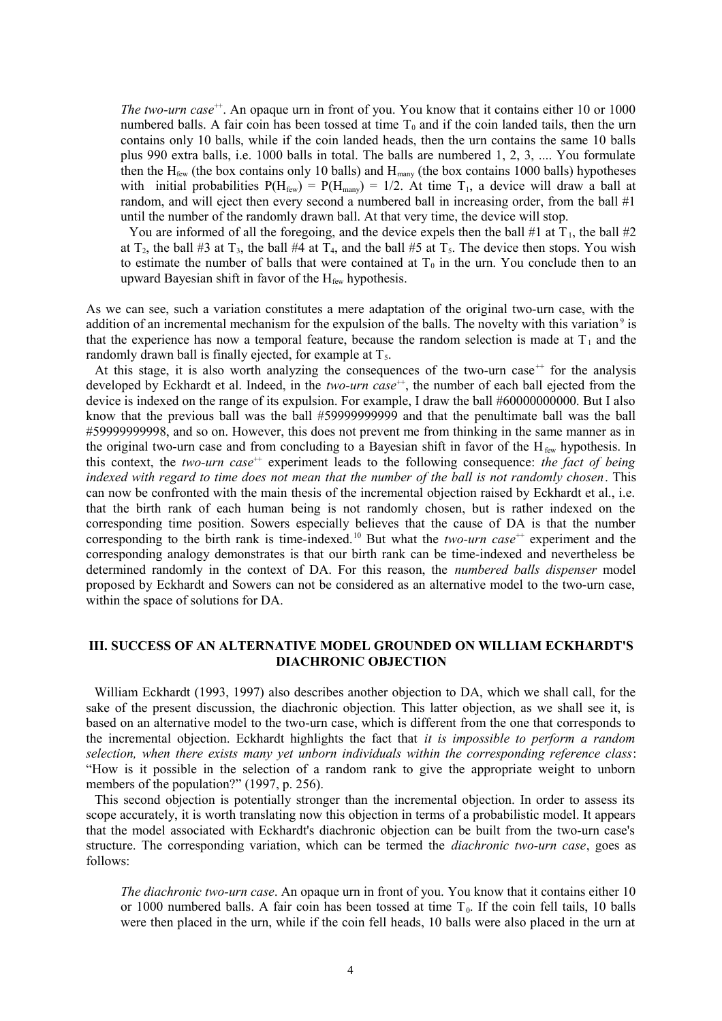*The two-urn case*<sup>++</sup>. An opaque urn in front of you. You know that it contains either 10 or 1000 numbered balls. A fair coin has been tossed at time  $T_0$  and if the coin landed tails, then the urn contains only 10 balls, while if the coin landed heads, then the urn contains the same 10 balls plus 990 extra balls, i.e. 1000 balls in total. The balls are numbered 1, 2, 3, .... You formulate then the  $H_{few}$  (the box contains only 10 balls) and  $H_{many}$  (the box contains 1000 balls) hypotheses with initial probabilities  $P(H_{few}) = P(H_{maw}) = 1/2$ . At time  $T_1$ , a device will draw a ball at random, and will eject then every second a numbered ball in increasing order, from the ball #1 until the number of the randomly drawn ball. At that very time, the device will stop.

You are informed of all the foregoing, and the device expels then the ball #1 at  $T_1$ , the ball #2 at  $T_2$ , the ball #3 at  $T_3$ , the ball #4 at  $T_4$ , and the ball #5 at  $T_5$ . The device then stops. You wish to estimate the number of balls that were contained at  $T_0$  in the urn. You conclude then to an upward Bayesian shift in favor of the  $H_{few}$  hypothesis.

As we can see, such a variation constitutes a mere adaptation of the original two-urn case, with the addition of an incremental mechanism for the expulsion of the balls. The novelty with this variation<sup>[9](#page-11-8)</sup> is that the experience has now a temporal feature, because the random selection is made at  $T_1$  and the randomly drawn ball is finally ejected, for example at  $T<sub>5</sub>$ .

At this stage, it is also worth analyzing the consequences of the two-urn case<sup> $+$ </sup> for the analysis developed by Eckhardt et al. Indeed, in the *two-urn case*<sup>++</sup>, the number of each ball ejected from the device is indexed on the range of its expulsion. For example, I draw the ball #60000000000. But I also know that the previous ball was the ball #59999999999 and that the penultimate ball was the ball #59999999998, and so on. However, this does not prevent me from thinking in the same manner as in the original two-urn case and from concluding to a Bayesian shift in favor of the  $H_{few}$  hypothesis. In this context, the *two-urn case*<sup>++</sup> experiment leads to the following consequence: *the fact of being indexed with regard to time does not mean that the number of the ball is not randomly chosen*. This can now be confronted with the main thesis of the incremental objection raised by Eckhardt et al., i.e. that the birth rank of each human being is not randomly chosen, but is rather indexed on the corresponding time position. Sowers especially believes that the cause of DA is that the number corresponding to the birth rank is time-indexed.<sup>[10](#page-11-9)</sup> But what the *two-urn case*<sup>++</sup> experiment and the corresponding analogy demonstrates is that our birth rank can be time-indexed and nevertheless be determined randomly in the context of DA. For this reason, the *numbered balls dispenser* model proposed by Eckhardt and Sowers can not be considered as an alternative model to the two-urn case, within the space of solutions for DA.

# **III. SUCCESS OF AN ALTERNATIVE MODEL GROUNDED ON WILLIAM ECKHARDT'S DIACHRONIC OBJECTION**

William Eckhardt (1993, 1997) also describes another objection to DA, which we shall call, for the sake of the present discussion, the diachronic objection. This latter objection, as we shall see it, is based on an alternative model to the two-urn case, which is different from the one that corresponds to the incremental objection. Eckhardt highlights the fact that *it is impossible to perform a random selection, when there exists many yet unborn individuals within the corresponding reference class*: "How is it possible in the selection of a random rank to give the appropriate weight to unborn members of the population?" (1997, p. 256).

This second objection is potentially stronger than the incremental objection. In order to assess its scope accurately, it is worth translating now this objection in terms of a probabilistic model. It appears that the model associated with Eckhardt's diachronic objection can be built from the two-urn case's structure. The corresponding variation, which can be termed the *diachronic two-urn case*, goes as follows:

*The diachronic two-urn case*. An opaque urn in front of you. You know that it contains either 10 or 1000 numbered balls. A fair coin has been tossed at time  $T_0$ . If the coin fell tails, 10 balls were then placed in the urn, while if the coin fell heads, 10 balls were also placed in the urn at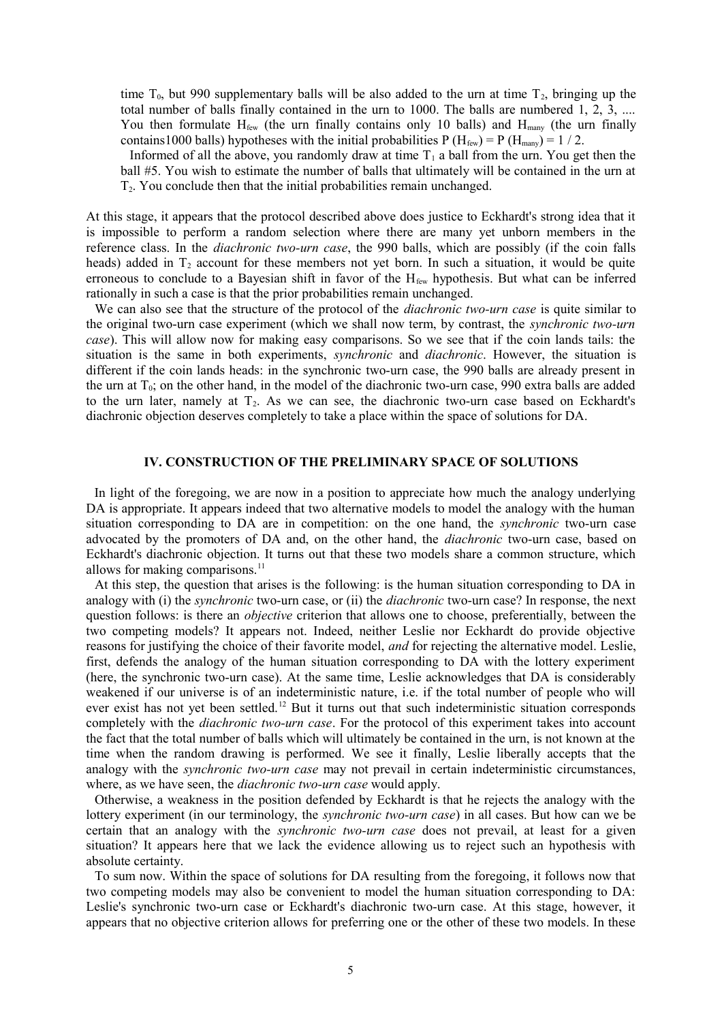time  $T_0$ , but 990 supplementary balls will be also added to the urn at time  $T_2$ , bringing up the total number of balls finally contained in the urn to 1000. The balls are numbered 1, 2, 3, .... You then formulate  $H_{few}$  (the urn finally contains only 10 balls) and  $H_{many}$  (the urn finally contains 1000 balls) hypotheses with the initial probabilities P ( $H_{few}$ ) = P ( $H_{many}$ ) = 1 / 2.

Informed of all the above, you randomly draw at time  $T_1$  a ball from the urn. You get then the ball #5. You wish to estimate the number of balls that ultimately will be contained in the urn at T2. You conclude then that the initial probabilities remain unchanged.

At this stage, it appears that the protocol described above does justice to Eckhardt's strong idea that it is impossible to perform a random selection where there are many yet unborn members in the reference class. In the *diachronic two-urn case*, the 990 balls, which are possibly (if the coin falls heads) added in  $T_2$  account for these members not yet born. In such a situation, it would be quite erroneous to conclude to a Bayesian shift in favor of the H<sub>few</sub> hypothesis. But what can be inferred rationally in such a case is that the prior probabilities remain unchanged.

We can also see that the structure of the protocol of the *diachronic two-urn case* is quite similar to the original two-urn case experiment (which we shall now term, by contrast, the *synchronic two-urn case*). This will allow now for making easy comparisons. So we see that if the coin lands tails: the situation is the same in both experiments, *synchronic* and *diachronic*. However, the situation is different if the coin lands heads: in the synchronic two-urn case, the 990 balls are already present in the urn at  $T_0$ ; on the other hand, in the model of the diachronic two-urn case, 990 extra balls are added to the urn later, namely at  $T_2$ . As we can see, the diachronic two-urn case based on Eckhardt's diachronic objection deserves completely to take a place within the space of solutions for DA.

## **IV. CONSTRUCTION OF THE PRELIMINARY SPACE OF SOLUTIONS**

In light of the foregoing, we are now in a position to appreciate how much the analogy underlying DA is appropriate. It appears indeed that two alternative models to model the analogy with the human situation corresponding to DA are in competition: on the one hand, the *synchronic* two-urn case advocated by the promoters of DA and, on the other hand, the *diachronic* two-urn case, based on Eckhardt's diachronic objection. It turns out that these two models share a common structure, which allows for making comparisons. $^{11}$  $^{11}$  $^{11}$ 

At this step, the question that arises is the following: is the human situation corresponding to DA in analogy with (i) the *synchronic* two-urn case, or (ii) the *diachronic* two-urn case? In response, the next question follows: is there an *objective* criterion that allows one to choose, preferentially, between the two competing models? It appears not. Indeed, neither Leslie nor Eckhardt do provide objective reasons for justifying the choice of their favorite model, *and* for rejecting the alternative model. Leslie, first, defends the analogy of the human situation corresponding to DA with the lottery experiment (here, the synchronic two-urn case). At the same time, Leslie acknowledges that DA is considerably weakened if our universe is of an indeterministic nature, i.e. if the total number of people who will ever exist has not yet been settled.<sup>[12](#page-11-11)</sup> But it turns out that such indeterministic situation corresponds completely with the *diachronic two-urn case*. For the protocol of this experiment takes into account the fact that the total number of balls which will ultimately be contained in the urn, is not known at the time when the random drawing is performed. We see it finally, Leslie liberally accepts that the analogy with the *synchronic two-urn case* may not prevail in certain indeterministic circumstances, where, as we have seen, the *diachronic two-urn case* would apply.

Otherwise, a weakness in the position defended by Eckhardt is that he rejects the analogy with the lottery experiment (in our terminology, the *synchronic two-urn case*) in all cases. But how can we be certain that an analogy with the *synchronic two-urn case* does not prevail, at least for a given situation? It appears here that we lack the evidence allowing us to reject such an hypothesis with absolute certainty.

To sum now. Within the space of solutions for DA resulting from the foregoing, it follows now that two competing models may also be convenient to model the human situation corresponding to DA: Leslie's synchronic two-urn case or Eckhardt's diachronic two-urn case. At this stage, however, it appears that no objective criterion allows for preferring one or the other of these two models. In these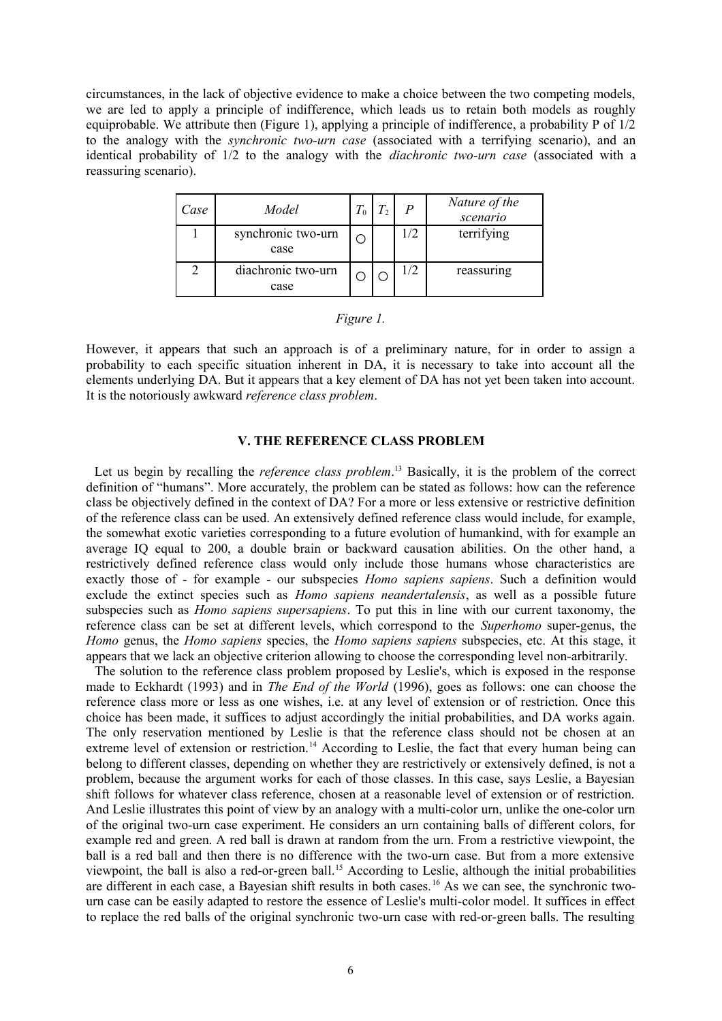circumstances, in the lack of objective evidence to make a choice between the two competing models, we are led to apply a principle of indifference, which leads us to retain both models as roughly equiprobable. We attribute then (Figure 1), applying a principle of indifference, a probability P of 1/2 to the analogy with the *synchronic two-urn case* (associated with a terrifying scenario), and an identical probability of 1/2 to the analogy with the *diachronic two-urn case* (associated with a reassuring scenario).

| Case | Model                      | $\bm{\tau}$ | P   | Nature of the<br>scenario |
|------|----------------------------|-------------|-----|---------------------------|
|      | synchronic two-urn<br>case |             | 1/2 | terrifying                |
|      | diachronic two-urn<br>case |             | 1/2 | reassuring                |

| 1911 r |  |
|--------|--|
|        |  |

However, it appears that such an approach is of a preliminary nature, for in order to assign a probability to each specific situation inherent in DA, it is necessary to take into account all the elements underlying DA. But it appears that a key element of DA has not yet been taken into account. It is the notoriously awkward *reference class problem*.

# **V. THE REFERENCE CLASS PROBLEM**

Let us begin by recalling the *reference class problem*. [13](#page-11-12) Basically, it is the problem of the correct definition of "humans". More accurately, the problem can be stated as follows: how can the reference class be objectively defined in the context of DA? For a more or less extensive or restrictive definition of the reference class can be used. An extensively defined reference class would include, for example, the somewhat exotic varieties corresponding to a future evolution of humankind, with for example an average IQ equal to 200, a double brain or backward causation abilities. On the other hand, a restrictively defined reference class would only include those humans whose characteristics are exactly those of - for example - our subspecies *Homo sapiens sapiens*. Such a definition would exclude the extinct species such as *Homo sapiens neandertalensis*, as well as a possible future subspecies such as *Homo sapiens supersapiens*. To put this in line with our current taxonomy, the reference class can be set at different levels, which correspond to the *Superhomo* super-genus, the *Homo* genus, the *Homo sapiens* species, the *Homo sapiens sapiens* subspecies, etc. At this stage, it appears that we lack an objective criterion allowing to choose the corresponding level non-arbitrarily.

The solution to the reference class problem proposed by Leslie's, which is exposed in the response made to Eckhardt (1993) and in *The End of the World* (1996), goes as follows: one can choose the reference class more or less as one wishes, i.e. at any level of extension or of restriction. Once this choice has been made, it suffices to adjust accordingly the initial probabilities, and DA works again. The only reservation mentioned by Leslie is that the reference class should not be chosen at an extreme level of extension or restriction.<sup>[14](#page-11-13)</sup> According to Leslie, the fact that every human being can belong to different classes, depending on whether they are restrictively or extensively defined, is not a problem, because the argument works for each of those classes. In this case, says Leslie, a Bayesian shift follows for whatever class reference, chosen at a reasonable level of extension or of restriction. And Leslie illustrates this point of view by an analogy with a multi-color urn, unlike the one-color urn of the original two-urn case experiment. He considers an urn containing balls of different colors, for example red and green. A red ball is drawn at random from the urn. From a restrictive viewpoint, the ball is a red ball and then there is no difference with the two-urn case. But from a more extensive viewpoint, the ball is also a red-or-green ball.<sup>[15](#page-11-14)</sup> According to Leslie, although the initial probabilities are different in each case, a Bayesian shift results in both cases. [16](#page-11-15) As we can see, the synchronic twourn case can be easily adapted to restore the essence of Leslie's multi-color model. It suffices in effect to replace the red balls of the original synchronic two-urn case with red-or-green balls. The resulting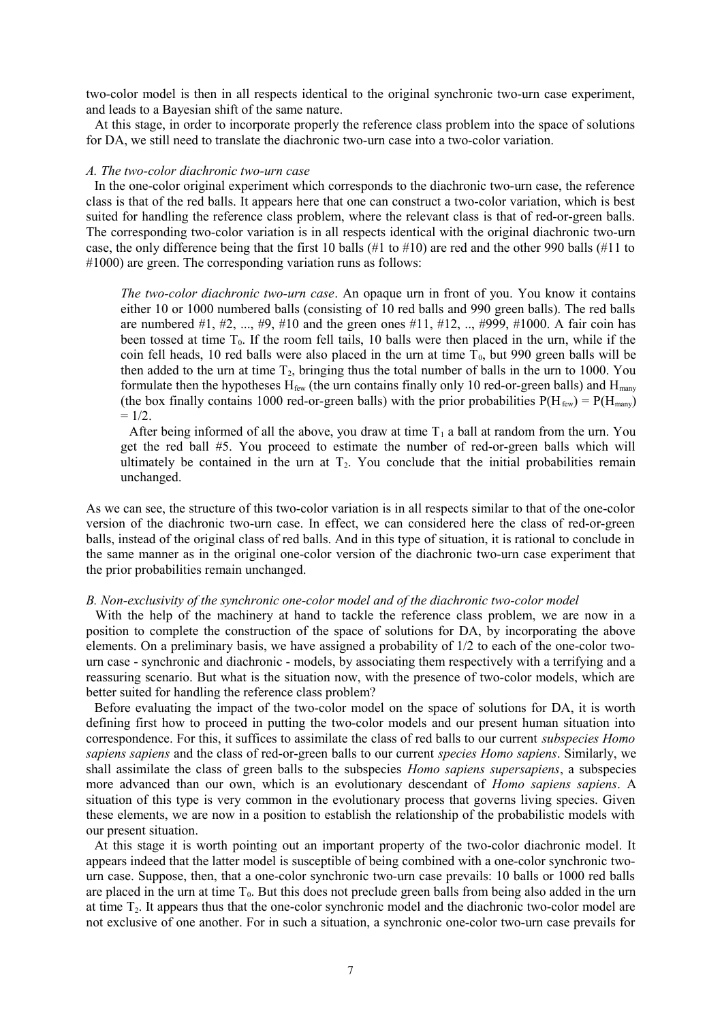two-color model is then in all respects identical to the original synchronic two-urn case experiment, and leads to a Bayesian shift of the same nature.

At this stage, in order to incorporate properly the reference class problem into the space of solutions for DA, we still need to translate the diachronic two-urn case into a two-color variation.

## *A. The two-color diachronic two-urn case*

In the one-color original experiment which corresponds to the diachronic two-urn case, the reference class is that of the red balls. It appears here that one can construct a two-color variation, which is best suited for handling the reference class problem, where the relevant class is that of red-or-green balls. The corresponding two-color variation is in all respects identical with the original diachronic two-urn case, the only difference being that the first 10 balls (#1 to #10) are red and the other 990 balls (#11 to #1000) are green. The corresponding variation runs as follows:

*The two-color diachronic two-urn case*. An opaque urn in front of you. You know it contains either 10 or 1000 numbered balls (consisting of 10 red balls and 990 green balls). The red balls are numbered #1, #2, ..., #9, #10 and the green ones #11, #12, .., #999, #1000. A fair coin has been tossed at time  $T_0$ . If the room fell tails, 10 balls were then placed in the urn, while if the coin fell heads, 10 red balls were also placed in the urn at time  $T_0$ , but 990 green balls will be then added to the urn at time  $T_2$ , bringing thus the total number of balls in the urn to 1000. You formulate then the hypotheses  $H_{few}$  (the urn contains finally only 10 red-or-green balls) and  $H_{maw}$ (the box finally contains 1000 red-or-green balls) with the prior probabilities  $P(H_{\text{few}}) = P(H_{\text{many}})$  $= 1/2.$ 

After being informed of all the above, you draw at time  $T_1$  a ball at random from the urn. You get the red ball #5. You proceed to estimate the number of red-or-green balls which will ultimately be contained in the urn at  $T<sub>2</sub>$ . You conclude that the initial probabilities remain unchanged.

As we can see, the structure of this two-color variation is in all respects similar to that of the one-color version of the diachronic two-urn case. In effect, we can considered here the class of red-or-green balls, instead of the original class of red balls. And in this type of situation, it is rational to conclude in the same manner as in the original one-color version of the diachronic two-urn case experiment that the prior probabilities remain unchanged.

## *B. Non-exclusivity of the synchronic one-color model and of the diachronic two-color model*

With the help of the machinery at hand to tackle the reference class problem, we are now in a position to complete the construction of the space of solutions for DA, by incorporating the above elements. On a preliminary basis, we have assigned a probability of 1/2 to each of the one-color twourn case - synchronic and diachronic - models, by associating them respectively with a terrifying and a reassuring scenario. But what is the situation now, with the presence of two-color models, which are better suited for handling the reference class problem?

Before evaluating the impact of the two-color model on the space of solutions for DA, it is worth defining first how to proceed in putting the two-color models and our present human situation into correspondence. For this, it suffices to assimilate the class of red balls to our current *subspecies Homo sapiens sapiens* and the class of red-or-green balls to our current *species Homo sapiens*. Similarly, we shall assimilate the class of green balls to the subspecies *Homo sapiens supersapiens*, a subspecies more advanced than our own, which is an evolutionary descendant of *Homo sapiens sapiens*. A situation of this type is very common in the evolutionary process that governs living species. Given these elements, we are now in a position to establish the relationship of the probabilistic models with our present situation.

At this stage it is worth pointing out an important property of the two-color diachronic model. It appears indeed that the latter model is susceptible of being combined with a one-color synchronic twourn case. Suppose, then, that a one-color synchronic two-urn case prevails: 10 balls or 1000 red balls are placed in the urn at time  $T_0$ . But this does not preclude green balls from being also added in the urn at time T2. It appears thus that the one-color synchronic model and the diachronic two-color model are not exclusive of one another. For in such a situation, a synchronic one-color two-urn case prevails for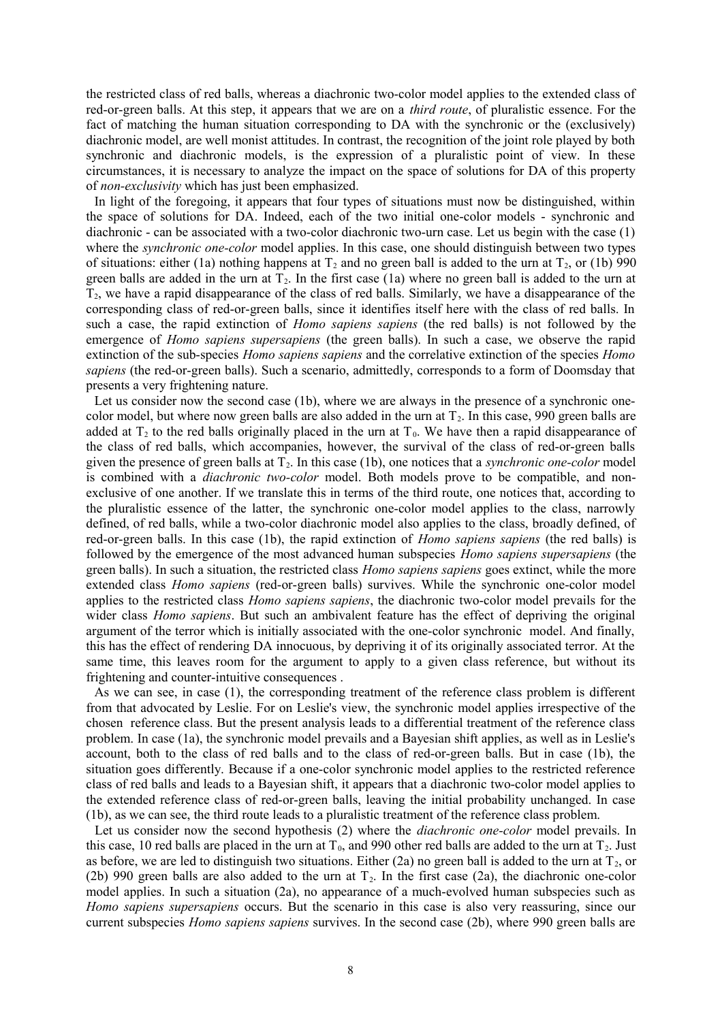the restricted class of red balls, whereas a diachronic two-color model applies to the extended class of red-or-green balls. At this step, it appears that we are on a *third route*, of pluralistic essence. For the fact of matching the human situation corresponding to DA with the synchronic or the (exclusively) diachronic model, are well monist attitudes. In contrast, the recognition of the joint role played by both synchronic and diachronic models, is the expression of a pluralistic point of view. In these circumstances, it is necessary to analyze the impact on the space of solutions for DA of this property of *non-exclusivity* which has just been emphasized.

In light of the foregoing, it appears that four types of situations must now be distinguished, within the space of solutions for DA. Indeed, each of the two initial one-color models - synchronic and diachronic - can be associated with a two-color diachronic two-urn case. Let us begin with the case (1) where the *synchronic one-color* model applies. In this case, one should distinguish between two types of situations: either (1a) nothing happens at  $T_2$  and no green ball is added to the urn at  $T_2$ , or (1b) 990 green balls are added in the urn at  $T_2$ . In the first case (1a) where no green ball is added to the urn at  $T_2$ , we have a rapid disappearance of the class of red balls. Similarly, we have a disappearance of the corresponding class of red-or-green balls, since it identifies itself here with the class of red balls. In such a case, the rapid extinction of *Homo sapiens sapiens* (the red balls) is not followed by the emergence of *Homo sapiens supersapiens* (the green balls). In such a case, we observe the rapid extinction of the sub-species *Homo sapiens sapiens* and the correlative extinction of the species *Homo sapiens* (the red-or-green balls). Such a scenario, admittedly, corresponds to a form of Doomsday that presents a very frightening nature.

Let us consider now the second case (1b), where we are always in the presence of a synchronic onecolor model, but where now green balls are also added in the urn at  $T_2$ . In this case, 990 green balls are added at  $T_2$  to the red balls originally placed in the urn at  $T_0$ . We have then a rapid disappearance of the class of red balls, which accompanies, however, the survival of the class of red-or-green balls given the presence of green balls at  $T_2$ . In this case (1b), one notices that a *synchronic one-color* model is combined with a *diachronic two-color* model. Both models prove to be compatible, and nonexclusive of one another. If we translate this in terms of the third route, one notices that, according to the pluralistic essence of the latter, the synchronic one-color model applies to the class, narrowly defined, of red balls, while a two-color diachronic model also applies to the class, broadly defined, of red-or-green balls. In this case (1b), the rapid extinction of *Homo sapiens sapiens* (the red balls) is followed by the emergence of the most advanced human subspecies *Homo sapiens supersapiens* (the green balls). In such a situation, the restricted class *Homo sapiens sapiens* goes extinct, while the more extended class *Homo sapiens* (red-or-green balls) survives. While the synchronic one-color model applies to the restricted class *Homo sapiens sapiens*, the diachronic two-color model prevails for the wider class *Homo sapiens*. But such an ambivalent feature has the effect of depriving the original argument of the terror which is initially associated with the one-color synchronic model. And finally, this has the effect of rendering DA innocuous, by depriving it of its originally associated terror. At the same time, this leaves room for the argument to apply to a given class reference, but without its frightening and counter-intuitive consequences .

As we can see, in case (1), the corresponding treatment of the reference class problem is different from that advocated by Leslie. For on Leslie's view, the synchronic model applies irrespective of the chosen reference class. But the present analysis leads to a differential treatment of the reference class problem. In case (1a), the synchronic model prevails and a Bayesian shift applies, as well as in Leslie's account, both to the class of red balls and to the class of red-or-green balls. But in case (1b), the situation goes differently. Because if a one-color synchronic model applies to the restricted reference class of red balls and leads to a Bayesian shift, it appears that a diachronic two-color model applies to the extended reference class of red-or-green balls, leaving the initial probability unchanged. In case (1b), as we can see, the third route leads to a pluralistic treatment of the reference class problem.

Let us consider now the second hypothesis (2) where the *diachronic one-color* model prevails. In this case, 10 red balls are placed in the urn at  $T_0$ , and 990 other red balls are added to the urn at  $T_2$ . Just as before, we are led to distinguish two situations. Either  $(2a)$  no green ball is added to the urn at  $T_2$ , or (2b) 990 green balls are also added to the urn at  $T_2$ . In the first case (2a), the diachronic one-color model applies. In such a situation (2a), no appearance of a much-evolved human subspecies such as *Homo sapiens supersapiens* occurs. But the scenario in this case is also very reassuring, since our current subspecies *Homo sapiens sapiens* survives. In the second case (2b), where 990 green balls are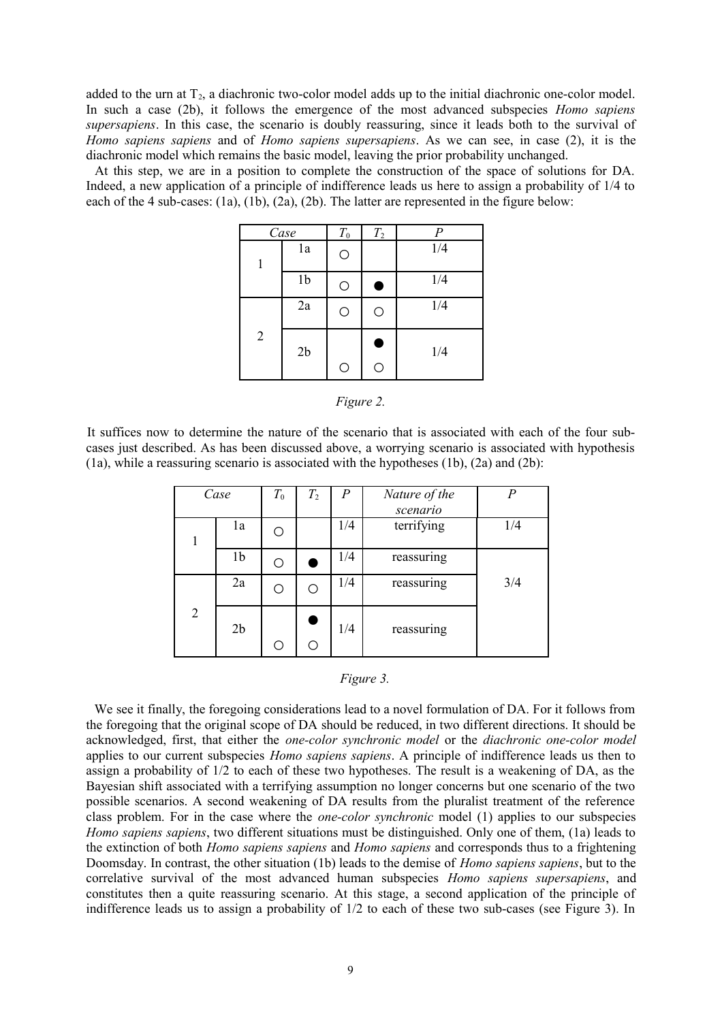added to the urn at  $T_2$ , a diachronic two-color model adds up to the initial diachronic one-color model. In such a case (2b), it follows the emergence of the most advanced subspecies *Homo sapiens supersapiens*. In this case, the scenario is doubly reassuring, since it leads both to the survival of *Homo sapiens sapiens* and of *Homo sapiens supersapiens*. As we can see, in case (2), it is the diachronic model which remains the basic model, leaving the prior probability unchanged.

At this step, we are in a position to complete the construction of the space of solutions for DA. Indeed, a new application of a principle of indifference leads us here to assign a probability of 1/4 to each of the 4 sub-cases: (1a), (1b), (2a), (2b). The latter are represented in the figure below:

| Case           |                | $T_{0}$    | $T_2$  | $\boldsymbol{P}$ |
|----------------|----------------|------------|--------|------------------|
| 1              | 1a             | $\bigcirc$ |        | 1/4              |
|                | 1 <sub>b</sub> | O          | Œ      | 1/4              |
|                | 2a             | $\bigcirc$ | O      | 1/4              |
| $\overline{2}$ | 2 <sub>b</sub> | $\bigcirc$ | C<br>О | 1/4              |

*Figure 2.*

It suffices now to determine the nature of the scenario that is associated with each of the four subcases just described. As has been discussed above, a worrying scenario is associated with hypothesis  $(1a)$ , while a reassuring scenario is associated with the hypotheses  $(1b)$ ,  $(2a)$  and  $(2b)$ :

| Case           |                | $T_{0}$ | $T_2$             | $\boldsymbol{P}$ | Nature of the | $\boldsymbol{p}$ |
|----------------|----------------|---------|-------------------|------------------|---------------|------------------|
|                |                |         |                   |                  | scenario      |                  |
| 1              | 1a             |         | terrifying<br>1/4 |                  |               | 1/4              |
|                | 1 <sub>b</sub> |         |                   | 1/4              | reassuring    |                  |
|                | 2a             |         | Ω                 | 1/4              | reassuring    | 3/4              |
| $\overline{2}$ | 2 <sub>b</sub> |         | ◯                 | 1/4              | reassuring    |                  |

| 19Ur |  |
|------|--|
|      |  |

We see it finally, the foregoing considerations lead to a novel formulation of DA. For it follows from the foregoing that the original scope of DA should be reduced, in two different directions. It should be acknowledged, first, that either the *one-color synchronic model* or the *diachronic one-color model* applies to our current subspecies *Homo sapiens sapiens*. A principle of indifference leads us then to assign a probability of 1/2 to each of these two hypotheses. The result is a weakening of DA, as the Bayesian shift associated with a terrifying assumption no longer concerns but one scenario of the two possible scenarios. A second weakening of DA results from the pluralist treatment of the reference class problem. For in the case where the *one-color synchronic* model (1) applies to our subspecies *Homo sapiens sapiens*, two different situations must be distinguished. Only one of them, (1a) leads to the extinction of both *Homo sapiens sapiens* and *Homo sapiens* and corresponds thus to a frightening Doomsday. In contrast, the other situation (1b) leads to the demise of *Homo sapiens sapiens*, but to the correlative survival of the most advanced human subspecies *Homo sapiens supersapiens*, and constitutes then a quite reassuring scenario. At this stage, a second application of the principle of indifference leads us to assign a probability of 1/2 to each of these two sub-cases (see Figure 3). In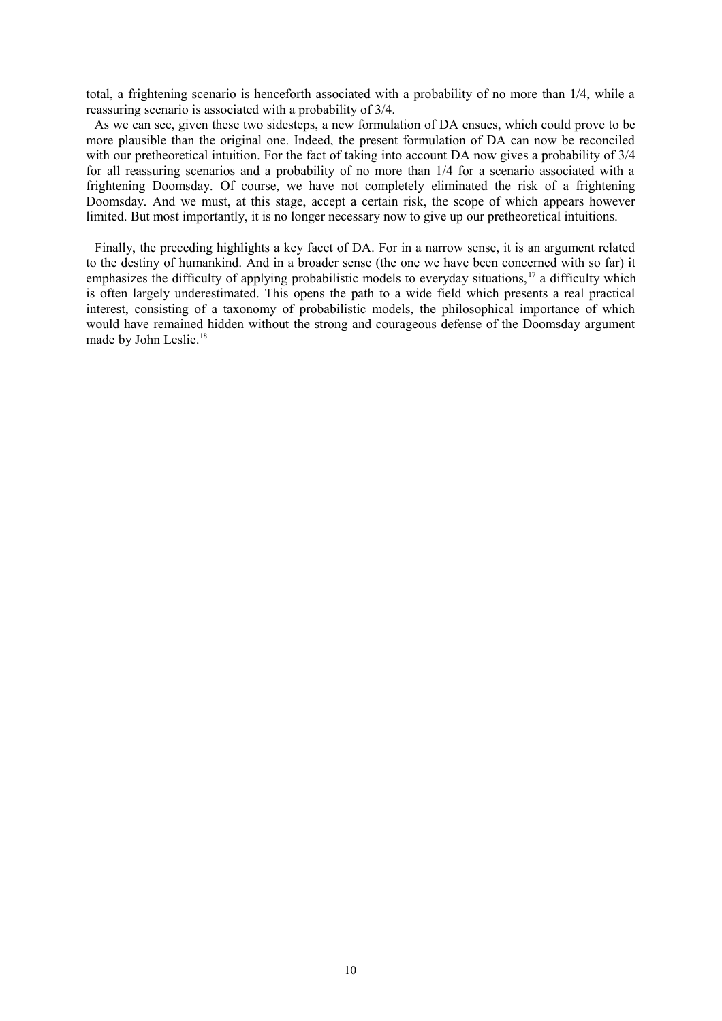total, a frightening scenario is henceforth associated with a probability of no more than 1/4, while a reassuring scenario is associated with a probability of 3/4.

As we can see, given these two sidesteps, a new formulation of DA ensues, which could prove to be more plausible than the original one. Indeed, the present formulation of DA can now be reconciled with our pretheoretical intuition. For the fact of taking into account DA now gives a probability of  $3/4$ for all reassuring scenarios and a probability of no more than 1/4 for a scenario associated with a frightening Doomsday. Of course, we have not completely eliminated the risk of a frightening Doomsday. And we must, at this stage, accept a certain risk, the scope of which appears however limited. But most importantly, it is no longer necessary now to give up our pretheoretical intuitions.

Finally, the preceding highlights a key facet of DA. For in a narrow sense, it is an argument related to the destiny of humankind. And in a broader sense (the one we have been concerned with so far) it emphasizes the difficulty of applying probabilistic models to everyday situations, [17](#page-11-16) a difficulty which is often largely underestimated. This opens the path to a wide field which presents a real practical interest, consisting of a taxonomy of probabilistic models, the philosophical importance of which would have remained hidden without the strong and courageous defense of the Doomsday argument made by John Leslie.<sup>[18](#page-11-17)</sup>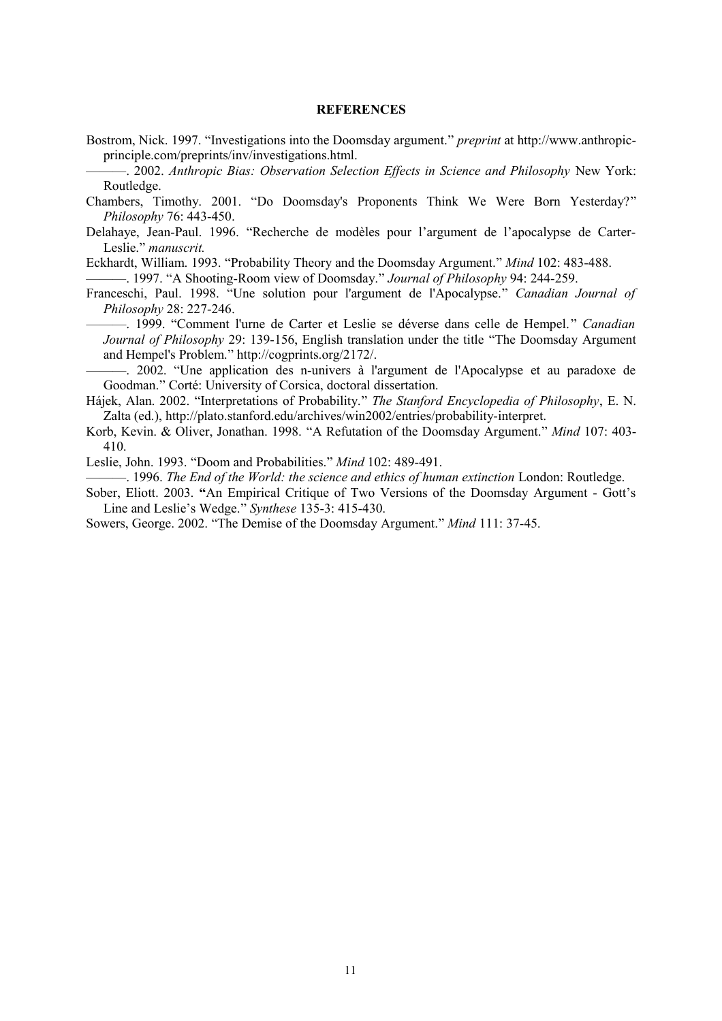## **REFERENCES**

Bostrom, Nick. 1997. "Investigations into the Doomsday argument." *preprint* at http://www.anthropicprinciple.com/preprints/inv/investigations.html.

———. 2002. *Anthropic Bias: Observation Selection Effects in Science and Philosophy* New York: Routledge.

- Chambers, Timothy. 2001. "Do Doomsday's Proponents Think We Were Born Yesterday?" *Philosophy* 76: 443-450.
- Delahaye, Jean-Paul. 1996. "Recherche de modèles pour l'argument de l'apocalypse de Carter-Leslie." *manuscrit.*

Eckhardt, William. 1993. "Probability Theory and the Doomsday Argument." *Mind* 102: 483-488.

———. 1997. "A Shooting-Room view of Doomsday." *Journal of Philosophy* 94: 244-259.

Franceschi, Paul. 1998. "Une solution pour l'argument de l'Apocalypse." *Canadian Journal of Philosophy* 28: 227-246.

———. 1999. "Comment l'urne de Carter et Leslie se déverse dans celle de Hempel." *Canadian Journal of Philosophy* 29: 139-156, English translation under the title "The Doomsday Argument and Hempel's Problem." http://cogprints.org/2172/.

-. 2002. "Une application des n-univers à l'argument de l'Apocalypse et au paradoxe de Goodman." Corté: University of Corsica, doctoral dissertation.

Hájek, Alan. 2002. "Interpretations of Probability." *The Stanford Encyclopedia of Philosophy*, E. N. Zalta (ed.), http://plato.stanford.edu/archives/win2002/entries/probability-interpret.

- Korb, Kevin. & Oliver, Jonathan. 1998. "A Refutation of the Doomsday Argument." *Mind* 107: 403- 410.
- Leslie, John. 1993. "Doom and Probabilities." *Mind* 102: 489-491.

———. 1996. *The End of the World: the science and ethics of human extinction* London: Routledge.

Sober, Eliott. 2003. **"**An Empirical Critique of Two Versions of the Doomsday Argument - Gott's Line and Leslie's Wedge." *Synthese* 135-3: 415-430.

Sowers, George. 2002. "The Demise of the Doomsday Argument." *Mind* 111: 37-45.